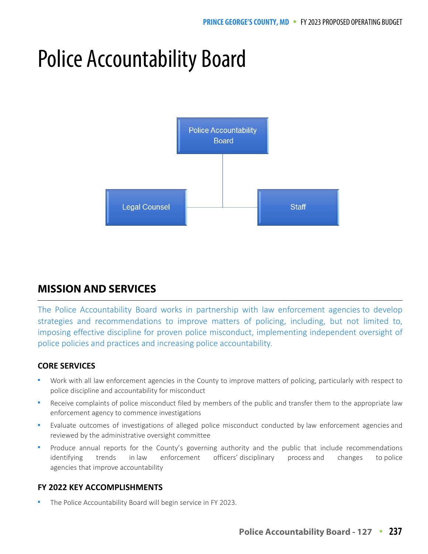# Police Accountability Board



# **MISSION AND SERVICES**

The Police Accountability Board works in partnership with law enforcement agencies to develop strategies and recommendations to improve matters of policing, including, but not limited to, imposing effective discipline for proven police misconduct, implementing independent oversight of police policies and practices and increasing police accountability.

## **CORE SERVICES**

- Work with all law enforcement agencies in the County to improve matters of policing, particularly with respect to police discipline and accountability for misconduct
- Receive complaints of police misconduct filed by members of the public and transfer them to the appropriate law enforcement agency to commence investigations
- Evaluate outcomes of investigations of alleged police misconduct conducted by law enforcement agencies and reviewed by the administrative oversight committee
- Produce annual reports for the County's governing authority and the public that include recommendations identifying trends in law enforcement officers' disciplinary process and changes to police agencies that improve accountability

## **FY 2022 KEY ACCOMPLISHMENTS**

The Police Accountability Board will begin service in FY 2023.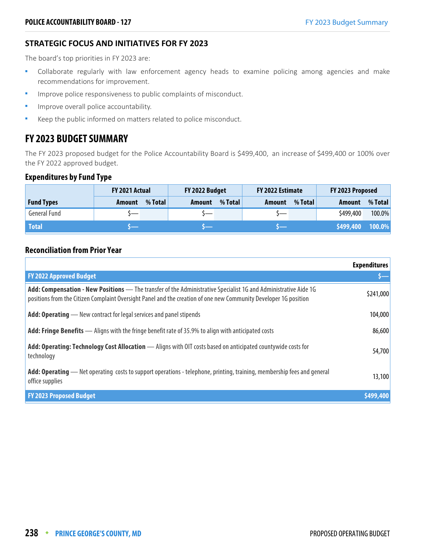## **STRATEGIC FOCUS AND INITIATIVES FOR FY 2023**

The board's top priorities in FY 2023 are:

- Collaborate regularly with law enforcement agency heads to examine policing among agencies and make recommendations for improvement.
- **IMPROVE POLICE RESPONSIVENESS TO public complaints of misconduct.**
- **IMPROVE OVER ALCOUNTED ACCOUNTED FOR A LIM**
- Keep the public informed on matters related to police misconduct.

## **FY 2023 BUDGET SUMMARY**

The FY 2023 proposed budget for the Police Accountability Board is \$499,400, an increase of \$499,400 or 100% over the FY 2022 approved budget.

#### **Expenditures by Fund Type**

|                     | <b>FY 2021 Actual</b> |         | FY 2022 Budget |         | FY 2022 Estimate |         | FY 2023 Proposed |         |
|---------------------|-----------------------|---------|----------------|---------|------------------|---------|------------------|---------|
| <b>Fund Types</b>   | Amount                | % Total | Amount         | % Total | Amount           | % Total | Amount           | % Total |
| <b>General Fund</b> |                       |         |                |         |                  |         | \$499,400        | 100.0%  |
| <b>Total</b>        |                       |         |                |         |                  |         | \$499,400        | 100.0%  |

### **Reconciliation from Prior Year**

|                                                                                                                                                                                                                                     | <b>Expenditures</b> |
|-------------------------------------------------------------------------------------------------------------------------------------------------------------------------------------------------------------------------------------|---------------------|
| <b>FY 2022 Approved Budget</b>                                                                                                                                                                                                      |                     |
| Add: Compensation - New Positions - The transfer of the Administrative Specialist 1G and Administrative Aide 1G<br>positions from the Citizen Complaint Oversight Panel and the creation of one new Community Developer 1G position | \$241,000           |
| <b>Add: Operating</b> — New contract for legal services and panel stipends                                                                                                                                                          | 104,000             |
| <b>Add: Fringe Benefits</b> — Aligns with the fringe benefit rate of 35.9% to align with anticipated costs                                                                                                                          | 86,600              |
| Add: Operating: Technology Cost Allocation - Aligns with OIT costs based on anticipated countywide costs for<br>technology                                                                                                          | 54,700              |
| Add: Operating — Net operating costs to support operations - telephone, printing, training, membership fees and general<br>office supplies                                                                                          | 13,100              |
| <b>FY 2023 Proposed Budget</b>                                                                                                                                                                                                      | \$499,400           |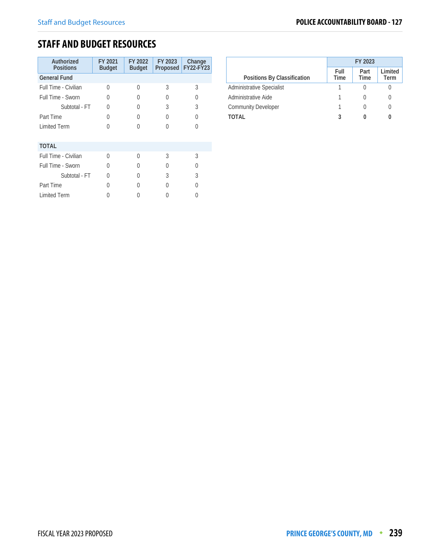## **STAFF AND BUDGET RESOURCES**

| Authorized<br><b>Positions</b> | FY 2021<br><b>Budget</b> | FY 2022<br><b>Budget</b> | FY 2023<br>Proposed | Change<br>FY22-FY23 |
|--------------------------------|--------------------------|--------------------------|---------------------|---------------------|
| <b>General Fund</b>            |                          |                          |                     |                     |
| Full Time - Civilian           | O                        | U                        | 3                   | 3                   |
| Full Time - Sworn              | O                        | O                        | O                   | U                   |
| Subtotal - FT                  | U                        | $\left( \right)$         | 3                   | 3                   |
| Part Time                      | $\Omega$                 | 0                        | U                   | Λ                   |
| <b>Limited Term</b>            | U                        |                          | U                   | 0                   |
| <b>TOTAL</b>                   |                          |                          |                     |                     |
| Full Time - Civilian           | $\Omega$                 | U                        | 3                   | 3                   |
|                                |                          |                          |                     |                     |
| Full Time - Sworn              | U                        | 0                        | U                   | ( )                 |
| Subtotal - FT                  | U                        | 0                        | 3                   | 3                   |
| Part Time                      | 0                        |                          | Λ                   | Λ                   |
| <b>Limited Term</b>            |                          |                          |                     |                     |

|                                  | FY 2023      |              |                 |  |
|----------------------------------|--------------|--------------|-----------------|--|
| Positions By Classification      | Full<br>Time | Part<br>Time | Limited<br>Term |  |
| <b>Administrative Specialist</b> |              |              |                 |  |
| Administrative Aide              |              |              |                 |  |
| <b>Community Developer</b>       |              |              |                 |  |
| TOTAL                            |              |              |                 |  |